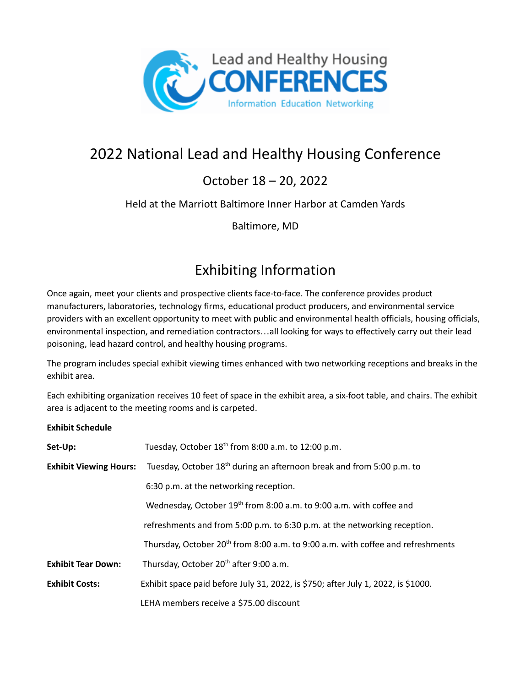

# 2022 National Lead and Healthy Housing Conference

#### October 18 – 20, 2022

#### Held at the Marriott Baltimore Inner Harbor at Camden Yards

Baltimore, MD

### Exhibiting Information

Once again, meet your clients and prospective clients face-to-face. The conference provides product manufacturers, laboratories, technology firms, educational product producers, and environmental service providers with an excellent opportunity to meet with public and environmental health officials, housing officials, environmental inspection, and remediation contractors…all looking for ways to effectively carry out their lead poisoning, lead hazard control, and healthy housing programs.

The program includes special exhibit viewing times enhanced with two networking receptions and breaks in the exhibit area.

Each exhibiting organization receives 10 feet of space in the exhibit area, a six-foot table, and chairs. The exhibit area is adjacent to the meeting rooms and is carpeted.

#### **Exhibit Schedule**

| Set-Up:                       | Tuesday, October 18 <sup>th</sup> from 8:00 a.m. to 12:00 p.m.                              |  |
|-------------------------------|---------------------------------------------------------------------------------------------|--|
| <b>Exhibit Viewing Hours:</b> | Tuesday, October 18 <sup>th</sup> during an afternoon break and from 5:00 p.m. to           |  |
|                               | 6:30 p.m. at the networking reception.                                                      |  |
|                               | Wednesday, October 19 <sup>th</sup> from 8:00 a.m. to 9:00 a.m. with coffee and             |  |
|                               | refreshments and from 5:00 p.m. to 6:30 p.m. at the networking reception.                   |  |
|                               | Thursday, October 20 <sup>th</sup> from 8:00 a.m. to 9:00 a.m. with coffee and refreshments |  |
| <b>Exhibit Tear Down:</b>     | Thursday, October 20 <sup>th</sup> after 9:00 a.m.                                          |  |
| <b>Exhibit Costs:</b>         | Exhibit space paid before July 31, 2022, is \$750; after July 1, 2022, is \$1000.           |  |
|                               | LEHA members receive a \$75.00 discount                                                     |  |